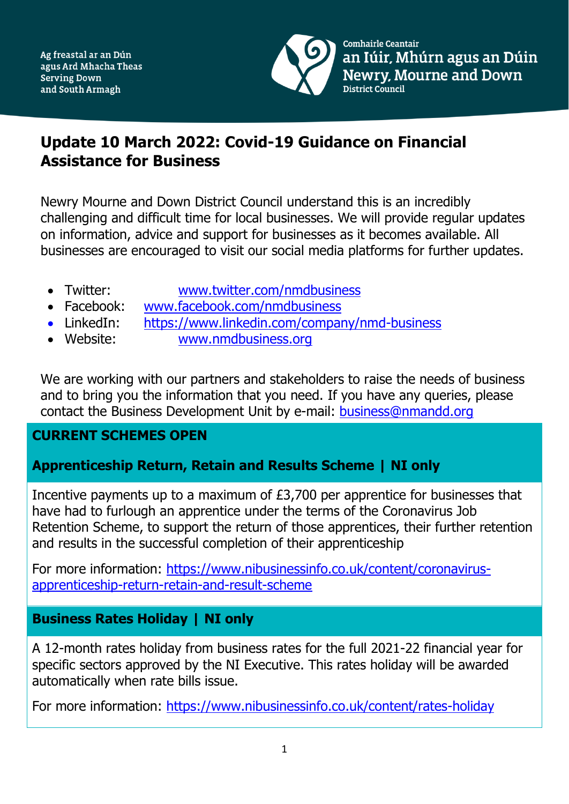

Comhairle Ceantair an Iúir, Mhúrn agus an Dúin **Newry, Mourne and Down** District Council

# **Update 10 March 2022: Covid-19 Guidance on Financial Assistance for Business**

Newry Mourne and Down District Council understand this is an incredibly challenging and difficult time for local businesses. We will provide regular updates on information, advice and support for businesses as it becomes available. All businesses are encouraged to visit our social media platforms for further updates.

- Twitter: [www.twitter.com/nmdbusiness](http://www.twitter.com/nmdbusiness)
- Facebook: [www.facebook.com/nmdbusiness](http://www.facebook.com/nmdbusiness)
- LinkedIn: [https://www.linkedin.com/company/nmd-business](https://www.linkedin.com/company/nmd-business/?viewAsMember=true)
- Website: [www.nmdbusiness.org](http://www.nmdbusiness.org/)

We are working with our partners and stakeholders to raise the needs of business and to bring you the information that you need. If you have any queries, please contact the Business Development Unit by e-mail: [business@nmandd.org](mailto:business@nmandd.org)

## **CURRENT SCHEMES OPEN**

## **Apprenticeship Return, Retain and Results Scheme | NI only**

Incentive payments up to a maximum of £3,700 per apprentice for businesses that have had to furlough an apprentice under the terms of the Coronavirus Job Retention Scheme, to support the return of those apprentices, their further retention and results in the successful completion of their apprenticeship

For more information: [https://www.nibusinessinfo.co.uk/content/coronavirus](https://www.nibusinessinfo.co.uk/content/coronavirus-apprenticeship-return-retain-and-result-scheme)[apprenticeship-return-retain-and-result-scheme](https://www.nibusinessinfo.co.uk/content/coronavirus-apprenticeship-return-retain-and-result-scheme)

## **Business Rates Holiday | NI only**

A 12-month rates holiday from business rates for the full 2021-22 financial year for specific sectors approved by the NI Executive. This rates holiday will be awarded automatically when rate bills issue.

For more information: <https://www.nibusinessinfo.co.uk/content/rates-holiday>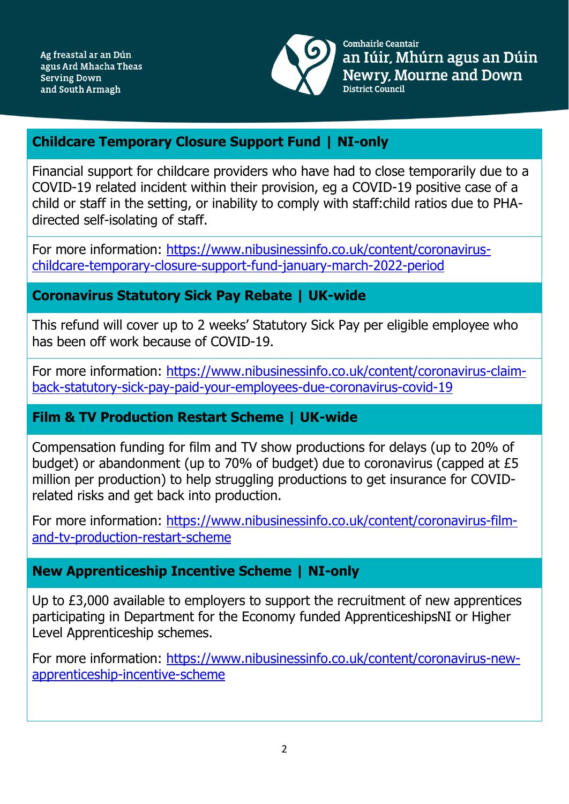

Comhairle Ceantair an Iúir, Mhúrn agus an Dúin **Newry, Mourne and Down** District Council

#### **Childcare Temporary Closure Support Fund | NI-only**

Financial support for childcare providers who have had to close temporarily due to a COVID-19 related incident within their provision, eg a COVID-19 positive case of a child or staff in the setting, or inability to comply with staff:child ratios due to PHAdirected self-isolating of staff.

For more information: [https://www.nibusinessinfo.co.uk/content/coronavirus](https://www.nibusinessinfo.co.uk/content/coronavirus-childcare-temporary-closure-support-fund-january-march-2022-period)[childcare-temporary-closure-support-fund-january-march-2022-period](https://www.nibusinessinfo.co.uk/content/coronavirus-childcare-temporary-closure-support-fund-january-march-2022-period)

#### **Coronavirus Statutory Sick Pay Rebate | UK-wide**

This refund will cover up to 2 weeks' Statutory Sick Pay per eligible employee who has been off work because of COVID-19.

For more information: [https://www.nibusinessinfo.co.uk/content/coronavirus-claim](https://www.nibusinessinfo.co.uk/content/coronavirus-claim-back-statutory-sick-pay-paid-your-employees-due-coronavirus-covid-19)[back-statutory-sick-pay-paid-your-employees-due-coronavirus-covid-19](https://www.nibusinessinfo.co.uk/content/coronavirus-claim-back-statutory-sick-pay-paid-your-employees-due-coronavirus-covid-19)

#### **Film & TV Production Restart Scheme | UK-wide**

Compensation funding for film and TV show productions for delays (up to 20% of budget) or abandonment (up to 70% of budget) due to coronavirus (capped at £5 million per production) to help struggling productions to get insurance for COVIDrelated risks and get back into production.

For more information: [https://www.nibusinessinfo.co.uk/content/coronavirus-film](https://www.nibusinessinfo.co.uk/content/coronavirus-film-and-tv-production-restart-scheme)[and-tv-production-restart-scheme](https://www.nibusinessinfo.co.uk/content/coronavirus-film-and-tv-production-restart-scheme)

#### **New Apprenticeship Incentive Scheme | NI-only**

Up to £3,000 available to employers to support the recruitment of new apprentices participating in Department for the Economy funded ApprenticeshipsNI or Higher Level Apprenticeship schemes.

For more information: [https://www.nibusinessinfo.co.uk/content/coronavirus-new](https://www.nibusinessinfo.co.uk/content/coronavirus-new-apprenticeship-incentive-scheme)[apprenticeship-incentive-scheme](https://www.nibusinessinfo.co.uk/content/coronavirus-new-apprenticeship-incentive-scheme)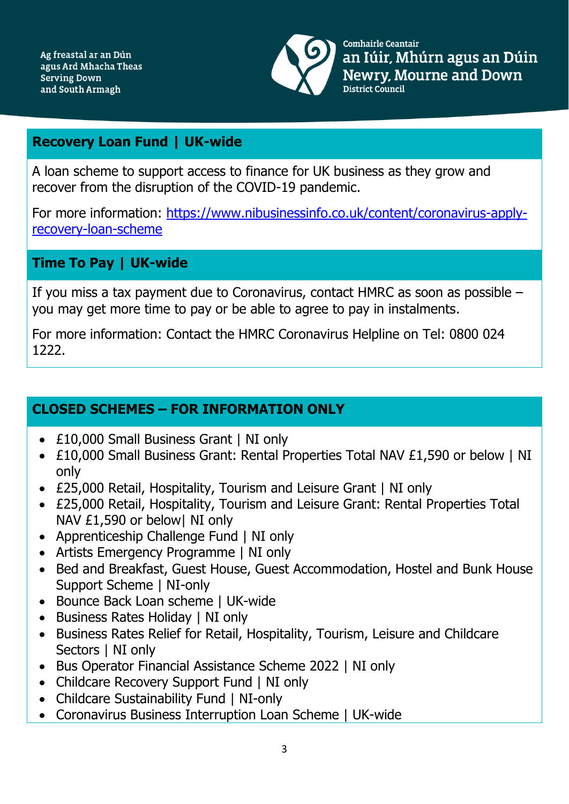

Comhairle Ceantair an Iúir, Mhúrn agus an Dúin **Newry, Mourne and Down** District Council

### **Recovery Loan Fund | UK-wide**

A loan scheme to support access to finance for UK business as they grow and recover from the disruption of the COVID-19 pandemic.

For more information: [https://www.nibusinessinfo.co.uk/content/coronavirus-apply](https://www.nibusinessinfo.co.uk/content/coronavirus-apply-recovery-loan-scheme)[recovery-loan-scheme](https://www.nibusinessinfo.co.uk/content/coronavirus-apply-recovery-loan-scheme)

## **Time To Pay | UK-wide**

If you miss a tax payment due to Coronavirus, contact HMRC as soon as possible – you may get more time to pay or be able to agree to pay in instalments.

For more information: Contact the HMRC Coronavirus Helpline on Tel: 0800 024 1222.

## **CLOSED SCHEMES – FOR INFORMATION ONLY**

- £10,000 Small Business Grant | NI only
- £10,000 Small Business Grant: Rental Properties Total NAV £1,590 or below | NI only
- £25,000 Retail, Hospitality, Tourism and Leisure Grant | NI only
- £25,000 Retail, Hospitality, Tourism and Leisure Grant: Rental Properties Total NAV £1,590 or below| NI only
- Apprenticeship Challenge Fund | NI only
- Artists Emergency Programme | NI only
- Bed and Breakfast, Guest House, Guest Accommodation, Hostel and Bunk House Support Scheme | NI-only
- Bounce Back Loan scheme | UK-wide
- Business Rates Holiday | NI only
- Business Rates Relief for Retail, Hospitality, Tourism, Leisure and Childcare Sectors | NI only
- Bus Operator Financial Assistance Scheme 2022 | NI only
- Childcare Recovery Support Fund | NI only
- Childcare Sustainability Fund | NI-only
- Coronavirus Business Interruption Loan Scheme | UK-wide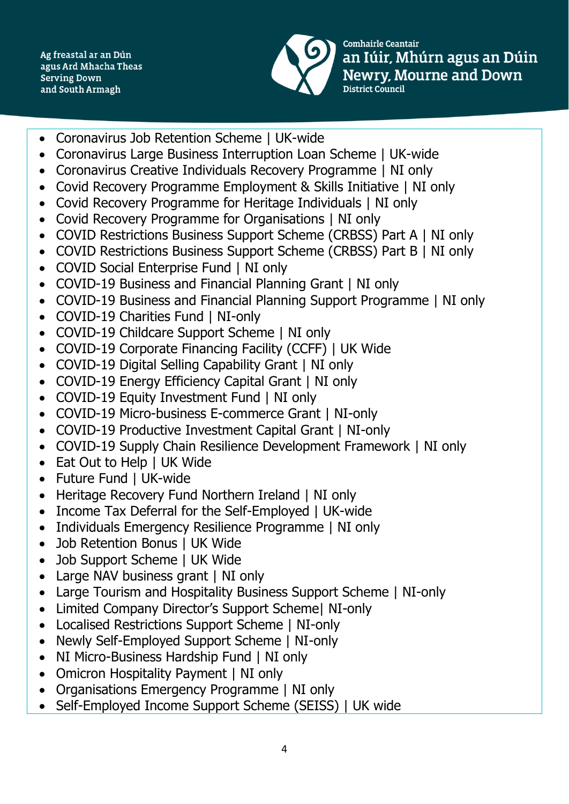Ag freastal ar an Dún agus Ard Mhacha Theas **Serving Down** and South Armagh



Comhairle Ceantair an Iúir, Mhúrn agus an Dúin **Newry, Mourne and Down** District Council

- Coronavirus Job Retention Scheme | UK-wide
- Coronavirus Large Business Interruption Loan Scheme | UK-wide
- Coronavirus Creative Individuals Recovery Programme | NI only
- Covid Recovery Programme Employment & Skills Initiative | NI only
- Covid Recovery Programme for Heritage Individuals | NI only
- Covid Recovery Programme for Organisations | NI only
- COVID Restrictions Business Support Scheme (CRBSS) Part A | NI only
- COVID Restrictions Business Support Scheme (CRBSS) Part B | NI only
- COVID Social Enterprise Fund | NI only
- COVID-19 Business and Financial Planning Grant | NI only
- COVID-19 Business and Financial Planning Support Programme | NI only
- COVID-19 Charities Fund | NI-only
- COVID-19 Childcare Support Scheme | NI only
- COVID-19 Corporate Financing Facility (CCFF) | UK Wide
- COVID-19 Digital Selling Capability Grant | NI only
- COVID-19 Energy Efficiency Capital Grant | NI only
- COVID-19 Equity Investment Fund | NI only
- COVID-19 Micro-business E-commerce Grant | NI-only
- COVID-19 Productive Investment Capital Grant | NI-only
- COVID-19 Supply Chain Resilience Development Framework | NI only
- Eat Out to Help | UK Wide
- Future Fund | UK-wide
- Heritage Recovery Fund Northern Ireland | NI only
- Income Tax Deferral for the Self-Employed | UK-wide
- Individuals Emergency Resilience Programme | NI only
- Job Retention Bonus | UK Wide
- Job Support Scheme | UK Wide
- Large NAV business grant | NI only
- Large Tourism and Hospitality Business Support Scheme | NI-only
- Limited Company Director's Support Scheme| NI-only
- Localised Restrictions Support Scheme | NI-only
- Newly Self-Employed Support Scheme | NI-only
- NI Micro-Business Hardship Fund | NI only
- Omicron Hospitality Payment | NI only
- Organisations Emergency Programme | NI only
- Self-Employed Income Support Scheme (SEISS) | UK wide